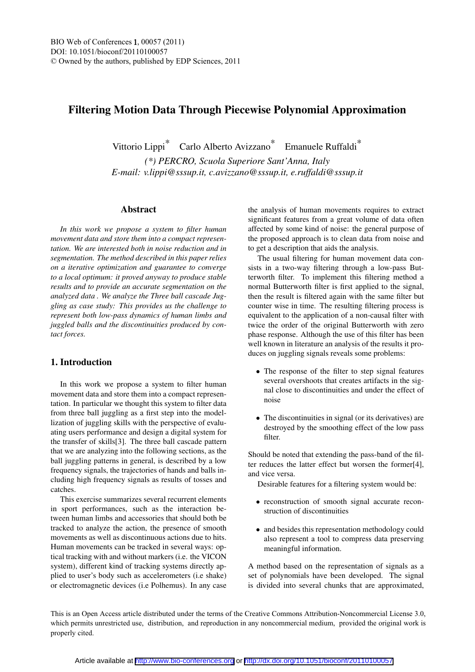# Filtering Motion Data Through Piecewise Polynomial Approximation

Vittorio Lippi\* Carlo Alberto Avizzano\* Emanuele Ruffaldi\*

*(\*) PERCRO, Scuola Superiore Sant'Anna, Italy E-mail: v.lippi@sssup.it, c.avizzano@sssup.it, e.ruffaldi@sssup.it*

#### Abstract

*In this work we propose a system to filter human movement data and store them into a compact representation. We are interested both in noise reduction and in segmentation. The method described in this paper relies on a iterative optimization and guarantee to converge to a local optimum: it proved anyway to produce stable results and to provide an accurate segmentation on the analyzed data . We analyze the Three ball cascade Juggling as case study: This provides us the challenge to represent both low-pass dynamics of human limbs and juggled balls and the discontinuities produced by contact forces.*

## 1. Introduction

In this work we propose a system to filter human movement data and store them into a compact representation. In particular we thought this system to filter data from three ball juggling as a first step into the modellization of juggling skills with the perspective of evaluating users performance and design a digital system for the transfer of skills[3]. The three ball cascade pattern that we are analyzing into the following sections, as the ball juggling patterns in general, is described by a low frequency signals, the trajectories of hands and balls including high frequency signals as results of tosses and catches.

This exercise summarizes several recurrent elements in sport performances, such as the interaction between human limbs and accessories that should both be tracked to analyze the action, the presence of smooth movements as well as discontinuous actions due to hits. Human movements can be tracked in several ways: optical tracking with and without markers (i.e. the VICON system), different kind of tracking systems directly applied to user's body such as accelerometers (i.e shake) or electromagnetic devices (i.e Polhemus). In any case

the analysis of human movements requires to extract significant features from a great volume of data often affected by some kind of noise: the general purpose of the proposed approach is to clean data from noise and to get a description that aids the analysis.

The usual filtering for human movement data consists in a two-way filtering through a low-pass Butterworth filter. To implement this filtering method a normal Butterworth filter is first applied to the signal, then the result is filtered again with the same filter but counter wise in time. The resulting filtering process is equivalent to the application of a non-causal filter with twice the order of the original Butterworth with zero phase response. Although the use of this filter has been well known in literature an analysis of the results it produces on juggling signals reveals some problems:

- The response of the filter to step signal features several overshoots that creates artifacts in the signal close to discontinuities and under the effect of noise
- The discontinuities in signal (or its derivatives) are destroyed by the smoothing effect of the low pass filter.

Should be noted that extending the pass-band of the filter reduces the latter effect but worsen the former[4], and vice versa.

Desirable features for a filtering system would be:

- reconstruction of smooth signal accurate reconstruction of discontinuities
- and besides this representation methodology could also represent a tool to compress data preserving meaningful information.

A method based on the representation of signals as a set of polynomials have been developed. The signal is divided into several chunks that are approximated,

This is an Open Access article distributed under the terms of the Creative Commons Attribution-Noncommercial License 3.0, which permits unrestricted use, distribution, and reproduction in any noncommercial medium, provided the original work is properly cited.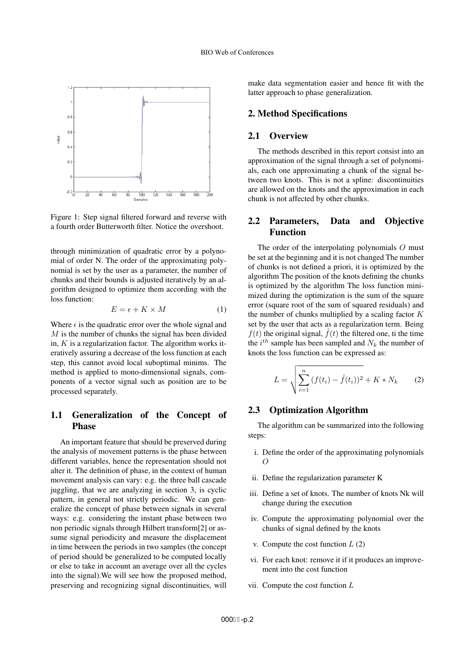

Figure 1: Step signal filtered forward and reverse with a fourth order Butterworth filter. Notice the overshoot.

through minimization of quadratic error by a polynomial of order N. The order of the approximating polynomial is set by the user as a parameter, the number of chunks and their bounds is adjusted iteratively by an algorithm designed to optimize them according with the loss function:

$$
E = \epsilon + K \times M \tag{1}
$$

Where  $\epsilon$  is the quadratic error over the whole signal and  $M$  is the number of chunks the signal has been divided in,  $K$  is a regularization factor. The algorithm works iteratively assuring a decrease of the loss function at each step, this cannot avoid local suboptimal minims. The method is applied to mono-dimensional signals, components of a vector signal such as position are to be processed separately.

## 1.1 Generalization of the Concept of Phase

An important feature that should be preserved during the analysis of movement patterns is the phase between different variables, hence the representation should not alter it. The definition of phase, in the context of human movement analysis can vary: e.g. the three ball cascade juggling, that we are analyzing in section 3, is cyclic pattern, in general not strictly periodic. We can generalize the concept of phase between signals in several ways: e.g. considering the instant phase between two non periodic signals through Hilbert transform[2] or assume signal periodicity and measure the displacement in time between the periods in two samples (the concept of period should be generalized to be computed locally or else to take in account an average over all the cycles into the signal).We will see how the proposed method, preserving and recognizing signal discontinuities, will

make data segmentation easier and hence fit with the latter approach to phase generalization.

## 2. Method Specifications

## 2.1 Overview

The methods described in this report consist into an approximation of the signal through a set of polynomials, each one approximating a chunk of the signal between two knots. This is not a spline: discontinuities are allowed on the knots and the approximation in each chunk is not affected by other chunks.

## 2.2 Parameters, Data and Objective Function

The order of the interpolating polynomials O must be set at the beginning and it is not changed The number of chunks is not defined a priori, it is optimized by the algorithm The position of the knots defining the chunks is optimized by the algorithm The loss function minimized during the optimization is the sum of the square error (square root of the sum of squared residuals) and the number of chunks multiplied by a scaling factor  $K$ set by the user that acts as a regularization term. Being  $f(t)$  the original signal,  $\hat{f}(t)$  the filtered one, ti the time the  $i^{th}$  sample has been sampled and  $N_k$  the number of knots the loss function can be expressed as:

$$
L = \sqrt{\sum_{i=1}^{n} (f(t_i) - \hat{f}(t_i))^2} + K * N_k
$$
 (2)

## 2.3 Optimization Algorithm

The algorithm can be summarized into the following steps:

- i. Define the order of the approximating polynomials  $\overline{O}$
- ii. Define the regularization parameter K
- iii. Define a set of knots. The number of knots Nk will change during the execution
- iv. Compute the approximating polynomial over the chunks of signal defined by the knots
- v. Compute the cost function  $L(2)$
- vi. For each knot: remove it if it produces an improvement into the cost function
- vii. Compute the cost function L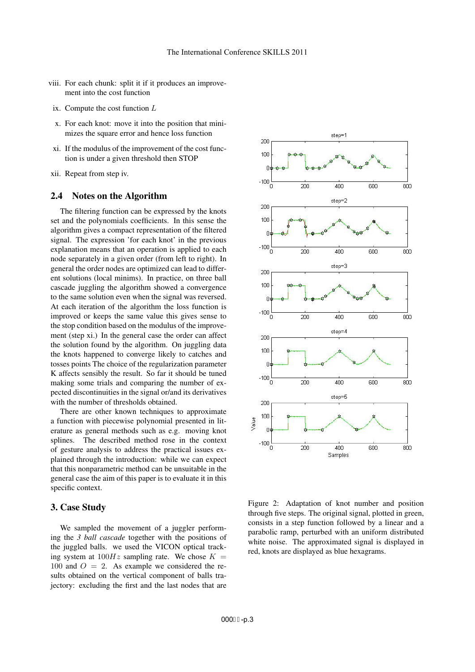- viii. For each chunk: split it if it produces an improvement into the cost function
- ix. Compute the cost function L
- x. For each knot: move it into the position that minimizes the square error and hence loss function
- xi. If the modulus of the improvement of the cost function is under a given threshold then STOP
- xii. Repeat from step iv.

## 2.4 Notes on the Algorithm

The filtering function can be expressed by the knots set and the polynomials coefficients. In this sense the algorithm gives a compact representation of the filtered signal. The expression 'for each knot' in the previous explanation means that an operation is applied to each node separately in a given order (from left to right). In general the order nodes are optimized can lead to different solutions (local minims). In practice, on three ball cascade juggling the algorithm showed a convergence to the same solution even when the signal was reversed. At each iteration of the algorithm the loss function is improved or keeps the same value this gives sense to the stop condition based on the modulus of the improvement (step xi.) In the general case the order can affect the solution found by the algorithm. On juggling data the knots happened to converge likely to catches and tosses points The choice of the regularization parameter K affects sensibly the result. So far it should be tuned making some trials and comparing the number of expected discontinuities in the signal or/and its derivatives with the number of thresholds obtained.

There are other known techniques to approximate a function with piecewise polynomial presented in literature as general methods such as e.g. moving knot splines. The described method rose in the context of gesture analysis to address the practical issues explained through the introduction: while we can expect that this nonparametric method can be unsuitable in the general case the aim of this paper is to evaluate it in this specific context.

## 3. Case Study

We sampled the movement of a juggler performing the *3 ball cascade* together with the positions of the juggled balls. we used the VICON optical tracking system at  $100Hz$  sampling rate. We chose  $K =$ 100 and  $O = 2$ . As example we considered the results obtained on the vertical component of balls trajectory: excluding the first and the last nodes that are



Figure 2: Adaptation of knot number and position through five steps. The original signal, plotted in green, consists in a step function followed by a linear and a parabolic ramp, perturbed with an uniform distributed white noise. The approximated signal is displayed in red, knots are displayed as blue hexagrams.